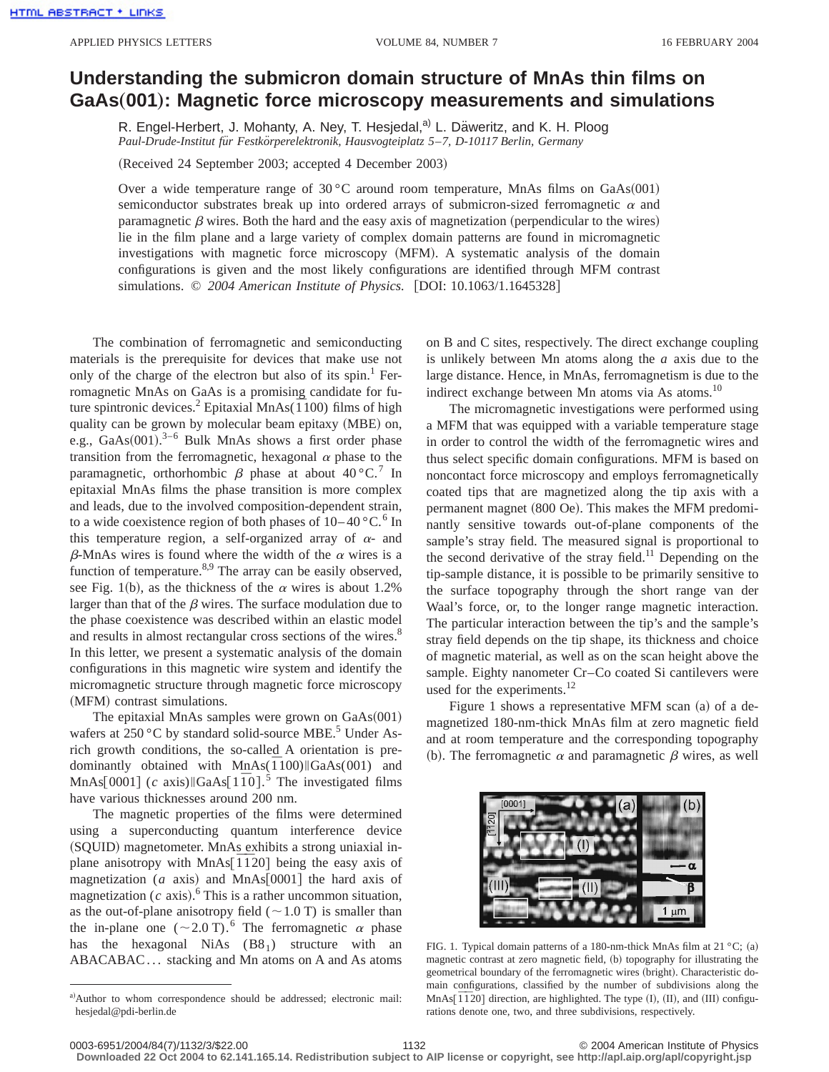## **Understanding the submicron domain structure of MnAs thin films on GaAs**"**001**…**: Magnetic force microscopy measurements and simulations**

R. Engel-Herbert, J. Mohanty, A. Ney, T. Hesjedal,<sup>a)</sup> L. Däweritz, and K. H. Ploog *Paul-Drude-Institut fu¨r Festko¨rperelektronik, Hausvogteiplatz 5*–*7, D-10117 Berlin, Germany*

(Received 24 September 2003; accepted 4 December 2003)

Over a wide temperature range of  $30^{\circ}$ C around room temperature, MnAs films on GaAs $(001)$ semiconductor substrates break up into ordered arrays of submicron-sized ferromagnetic  $\alpha$  and paramagnetic  $\beta$  wires. Both the hard and the easy axis of magnetization (perpendicular to the wires) lie in the film plane and a large variety of complex domain patterns are found in micromagnetic investigations with magnetic force microscopy (MFM). A systematic analysis of the domain configurations is given and the most likely configurations are identified through MFM contrast simulations. © 2004 American Institute of Physics. [DOI: 10.1063/1.1645328]

The combination of ferromagnetic and semiconducting materials is the prerequisite for devices that make use not only of the charge of the electron but also of its spin.<sup>1</sup> Ferromagnetic MnAs on GaAs is a promising candidate for future spintronic devices.<sup>2</sup> Epitaxial MnAs(1<sup>7</sup>100) films of high quality can be grown by molecular beam epitaxy (MBE) on, e.g.,  $GaAs(001).^{3-6}$  Bulk MnAs shows a first order phase transition from the ferromagnetic, hexagonal  $\alpha$  phase to the paramagnetic, orthorhombic  $\beta$  phase at about 40 °C.<sup>7</sup> In epitaxial MnAs films the phase transition is more complex and leads, due to the involved composition-dependent strain, to a wide coexistence region of both phases of  $10-40$  °C.<sup>6</sup> In this temperature region, a self-organized array of  $\alpha$ - and  $\beta$ -MnAs wires is found where the width of the  $\alpha$  wires is a function of temperature. $8,9$  The array can be easily observed, see Fig. 1(b), as the thickness of the  $\alpha$  wires is about 1.2% larger than that of the  $\beta$  wires. The surface modulation due to the phase coexistence was described within an elastic model and results in almost rectangular cross sections of the wires.<sup>8</sup> In this letter, we present a systematic analysis of the domain configurations in this magnetic wire system and identify the micromagnetic structure through magnetic force microscopy (MFM) contrast simulations.

The epitaxial MnAs samples were grown on  $GaAs(001)$ wafers at  $250\,^{\circ}$ C by standard solid-source MBE.<sup>5</sup> Under Asrich growth conditions, the so-called A orientation is predominantly obtained with MnAs( $\overline{1}100$ ) GaAs(001) and MnAs $[0001]$  (*c* axis)  $\left| \frac{\text{GaAs}}{100} \right|$ . The investigated films have various thicknesses around 200 nm.

The magnetic properties of the films were determined using a superconducting quantum interference device (SQUID) magnetometer. MnAs exhibits a strong uniaxial inplane anisotropy with MnAs $\overline{1}$  $\overline{1}$  20] being the easy axis of magnetization ( $a$  axis) and MnAs $[0001]$  the hard axis of magnetization  $(c \text{ axis})$ .<sup>6</sup> This is a rather uncommon situation, as the out-of-plane anisotropy field  $(\sim 1.0 \text{ T})$  is smaller than the in-plane one ( $\sim$ 2.0 T).<sup>6</sup> The ferromagnetic  $\alpha$  phase has the hexagonal NiAs  $(B8<sub>1</sub>)$  structure with an ABACABAC... stacking and Mn atoms on A and As atoms

on B and C sites, respectively. The direct exchange coupling is unlikely between Mn atoms along the *a* axis due to the large distance. Hence, in MnAs, ferromagnetism is due to the indirect exchange between Mn atoms via As atoms. $^{10}$ 

The micromagnetic investigations were performed using a MFM that was equipped with a variable temperature stage in order to control the width of the ferromagnetic wires and thus select specific domain configurations. MFM is based on noncontact force microscopy and employs ferromagnetically coated tips that are magnetized along the tip axis with a permanent magnet (800 Oe). This makes the MFM predominantly sensitive towards out-of-plane components of the sample's stray field. The measured signal is proportional to the second derivative of the stray field.<sup>11</sup> Depending on the tip-sample distance, it is possible to be primarily sensitive to the surface topography through the short range van der Waal's force, or, to the longer range magnetic interaction. The particular interaction between the tip's and the sample's stray field depends on the tip shape, its thickness and choice of magnetic material, as well as on the scan height above the sample. Eighty nanometer Cr–Co coated Si cantilevers were used for the experiments.<sup>12</sup>

Figure 1 shows a representative MFM scan  $(a)$  of a demagnetized 180-nm-thick MnAs film at zero magnetic field and at room temperature and the corresponding topography (b). The ferromagnetic  $\alpha$  and paramagnetic  $\beta$  wires, as well



FIG. 1. Typical domain patterns of a 180-nm-thick MnAs film at 21 °C; (a) magnetic contrast at zero magnetic field, (b) topography for illustrating the geometrical boundary of the ferromagnetic wires (bright). Characteristic domain configurations, classified by the number of subdivisions along the MnAs<sup> $[1720]$ </sup> direction, are highlighted. The type (I), (II), and (III) configurations denote one, two, and three subdivisions, respectively.

**Downloaded 22 Oct 2004 to 62.141.165.14. Redistribution subject to AIP license or copyright, see http://apl.aip.org/apl/copyright.jsp**

a)Author to whom correspondence should be addressed; electronic mail: hesjedal@pdi-berlin.de

<sup>0003-6951/2004/84(7)/1132/3/\$22.00 © 2004</sup> American Institute of Physics 1132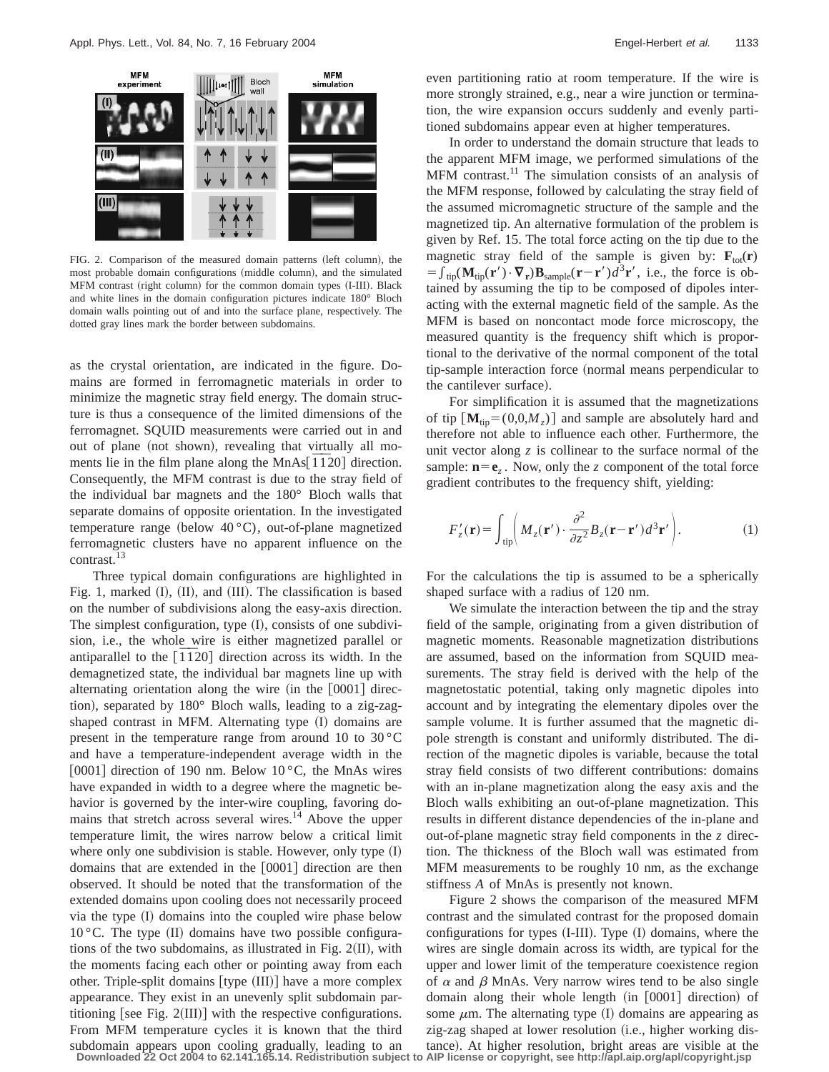

FIG. 2. Comparison of the measured domain patterns (left column), the most probable domain configurations (middle column), and the simulated MFM contrast (right column) for the common domain types (I-III). Black and white lines in the domain configuration pictures indicate 180° Bloch domain walls pointing out of and into the surface plane, respectively. The dotted gray lines mark the border between subdomains.

as the crystal orientation, are indicated in the figure. Domains are formed in ferromagnetic materials in order to minimize the magnetic stray field energy. The domain structure is thus a consequence of the limited dimensions of the ferromagnet. SQUID measurements were carried out in and out of plane (not shown), revealing that virtually all moments lie in the film plane along the MnAs $\overline{1}$  $\overline{1}$ 20] direction. Consequently, the MFM contrast is due to the stray field of the individual bar magnets and the 180° Bloch walls that separate domains of opposite orientation. In the investigated temperature range (below  $40^{\circ}$ C), out-of-plane magnetized ferromagnetic clusters have no apparent influence on the contrast.<sup>13</sup>

Three typical domain configurations are highlighted in Fig. 1, marked  $(II)$ ,  $(II)$ , and  $(III)$ . The classification is based on the number of subdivisions along the easy-axis direction. The simplest configuration, type  $(1)$ , consists of one subdivision, i.e., the whole wire is either magnetized parallel or antiparallel to the  $\left[\overline{1} \overline{1} 20\right]$  direction across its width. In the demagnetized state, the individual bar magnets line up with alternating orientation along the wire  $(in the [0001]$  direction), separated by  $180^\circ$  Bloch walls, leading to a zig-zagshaped contrast in MFM. Alternating type (I) domains are present in the temperature range from around 10 to  $30^{\circ}$ C and have a temperature-independent average width in the [0001] direction of 190 nm. Below  $10^{\circ}$ C, the MnAs wires have expanded in width to a degree where the magnetic behavior is governed by the inter-wire coupling, favoring domains that stretch across several wires. $14$  Above the upper temperature limit, the wires narrow below a critical limit where only one subdivision is stable. However, only type  $(I)$ domains that are extended in the  $[0001]$  direction are then observed. It should be noted that the transformation of the extended domains upon cooling does not necessarily proceed via the type  $(I)$  domains into the coupled wire phase below  $10^{\circ}$ C. The type (II) domains have two possible configurations of the two subdomains, as illustrated in Fig.  $2(II)$ , with the moments facing each other or pointing away from each other. Triple-split domains  $[type (III)]$  have a more complex appearance. They exist in an unevenly split subdomain partitioning [see Fig.  $2(III)$ ] with the respective configurations. From MFM temperature cycles it is known that the third subdomain appears upon cooling gradually, leading to an even partitioning ratio at room temperature. If the wire is more strongly strained, e.g., near a wire junction or termination, the wire expansion occurs suddenly and evenly partitioned subdomains appear even at higher temperatures.

In order to understand the domain structure that leads to the apparent MFM image, we performed simulations of the MFM contrast.<sup>11</sup> The simulation consists of an analysis of the MFM response, followed by calculating the stray field of the assumed micromagnetic structure of the sample and the magnetized tip. An alternative formulation of the problem is given by Ref. 15. The total force acting on the tip due to the magnetic stray field of the sample is given by:  $\mathbf{F}_{\text{tot}}(\mathbf{r})$  $=\int_{\text{tip}}(\mathbf{M}_{\text{tip}}(\mathbf{r}')\cdot\nabla_{\mathbf{r}})\mathbf{B}_{\text{sample}}(\mathbf{r}-\mathbf{r}')d^3\mathbf{r}'$ , i.e., the force is obtained by assuming the tip to be composed of dipoles interacting with the external magnetic field of the sample. As the MFM is based on noncontact mode force microscopy, the measured quantity is the frequency shift which is proportional to the derivative of the normal component of the total tip-sample interaction force (normal means perpendicular to the cantilever surface).

For simplification it is assumed that the magnetizations of tip  $\left[\mathbf{M}_{\text{tin}}=(0,0,M_{z})\right]$  and sample are absolutely hard and therefore not able to influence each other. Furthermore, the unit vector along *z* is collinear to the surface normal of the sample:  $\mathbf{n}=\mathbf{e}_z$ . Now, only the *z* component of the total force gradient contributes to the frequency shift, yielding:

$$
F'_{z}(\mathbf{r}) = \int_{\text{tip}} \left( M_{z}(\mathbf{r}') \cdot \frac{\partial^{2}}{\partial z^{2}} B_{z}(\mathbf{r} - \mathbf{r}') d^{3} \mathbf{r}' \right). \tag{1}
$$

For the calculations the tip is assumed to be a spherically shaped surface with a radius of 120 nm.

We simulate the interaction between the tip and the stray field of the sample, originating from a given distribution of magnetic moments. Reasonable magnetization distributions are assumed, based on the information from SQUID measurements. The stray field is derived with the help of the magnetostatic potential, taking only magnetic dipoles into account and by integrating the elementary dipoles over the sample volume. It is further assumed that the magnetic dipole strength is constant and uniformly distributed. The direction of the magnetic dipoles is variable, because the total stray field consists of two different contributions: domains with an in-plane magnetization along the easy axis and the Bloch walls exhibiting an out-of-plane magnetization. This results in different distance dependencies of the in-plane and out-of-plane magnetic stray field components in the *z* direction. The thickness of the Bloch wall was estimated from MFM measurements to be roughly 10 nm, as the exchange stiffness *A* of MnAs is presently not known.

Figure 2 shows the comparison of the measured MFM contrast and the simulated contrast for the proposed domain configurations for types  $(I-HII)$ . Type  $(I)$  domains, where the wires are single domain across its width, are typical for the upper and lower limit of the temperature coexistence region of  $\alpha$  and  $\beta$  MnAs. Very narrow wires tend to be also single domain along their whole length (in [0001] direction) of some  $\mu$ m. The alternating type (I) domains are appearing as zig-zag shaped at lower resolution (i.e., higher working distance). At higher resolution, bright areas are visible at the **Downloaded 22 Oct 2004 to 62.141.165.14. Redistribution subject to AIP license or copyright, see http://apl.aip.org/apl/copyright.jsp**